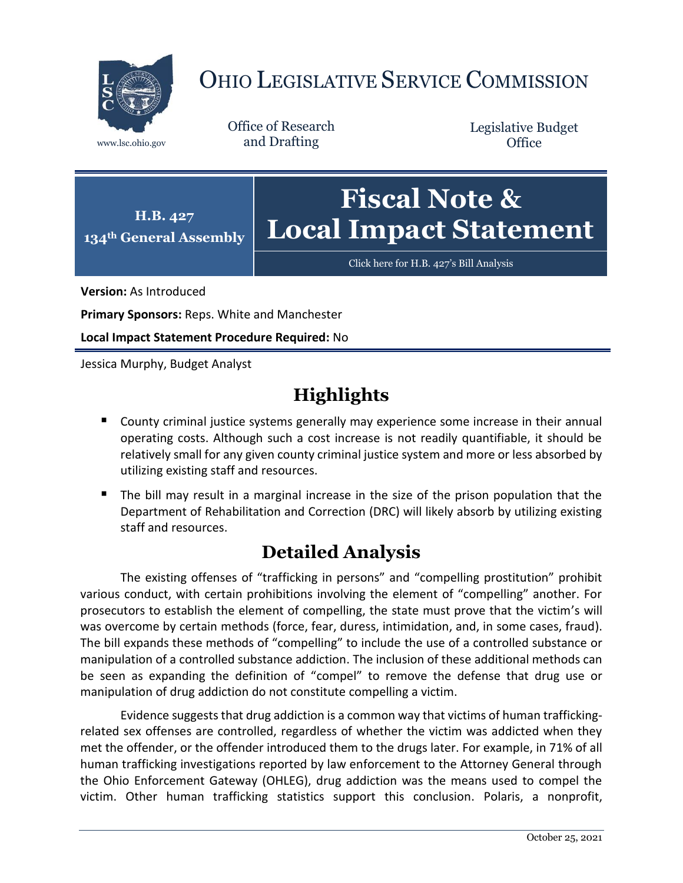

# OHIO LEGISLATIVE SERVICE COMMISSION

Office of Research www.lsc.ohio.gov and Drafting

Legislative Budget **Office** 



[Click here for H.B. 427](https://www.legislature.ohio.gov/legislation/legislation-documents?id=GA134-HB-427)'s Bill Analysis

**Version:** As Introduced

**Primary Sponsors:** Reps. White and Manchester

**Local Impact Statement Procedure Required:** No

Jessica Murphy, Budget Analyst

## **Highlights**

- **County criminal justice systems generally may experience some increase in their annual** operating costs. Although such a cost increase is not readily quantifiable, it should be relatively small for any given county criminal justice system and more or less absorbed by utilizing existing staff and resources.
- The bill may result in a marginal increase in the size of the prison population that the Department of Rehabilitation and Correction (DRC) will likely absorb by utilizing existing staff and resources.

## **Detailed Analysis**

The existing offenses of "trafficking in persons" and "compelling prostitution" prohibit various conduct, with certain prohibitions involving the element of "compelling" another. For prosecutors to establish the element of compelling, the state must prove that the victim's will was overcome by certain methods (force, fear, duress, intimidation, and, in some cases, fraud). The bill expands these methods of "compelling" to include the use of a controlled substance or manipulation of a controlled substance addiction. The inclusion of these additional methods can be seen as expanding the definition of "compel" to remove the defense that drug use or manipulation of drug addiction do not constitute compelling a victim.

Evidence suggests that drug addiction is a common way that victims of human traffickingrelated sex offenses are controlled, regardless of whether the victim was addicted when they met the offender, or the offender introduced them to the drugs later. For example, in 71% of all human trafficking investigations reported by law enforcement to the Attorney General through the Ohio Enforcement Gateway (OHLEG), drug addiction was the means used to compel the victim. Other human trafficking statistics support this conclusion. Polaris, a nonprofit,